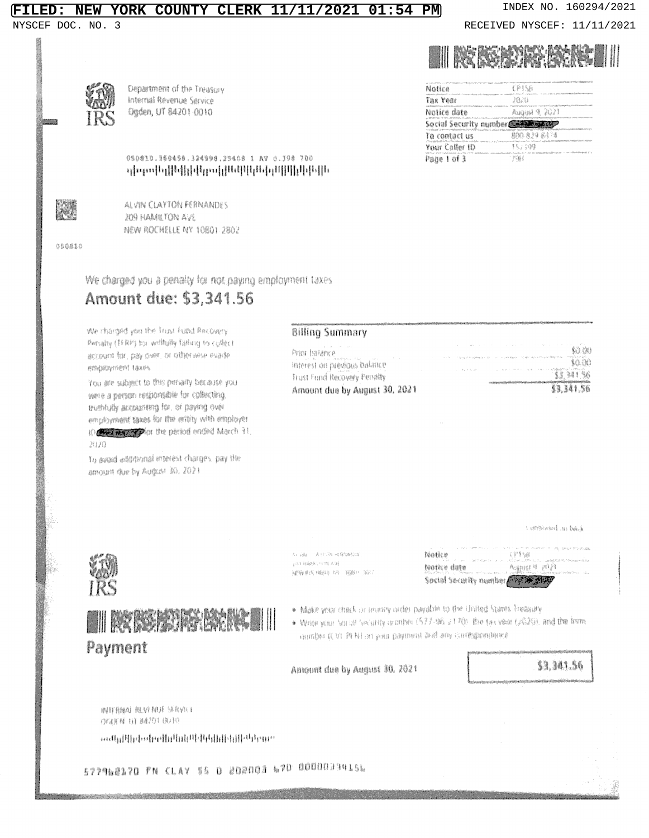### **YORK COUNTY CLERK** 2021 01:54 PM

NYSCEF DOC. NO. 3

# INDEX NO. 160294/2021

RECEIVED NYSCEF: 11/11/2021



| Notice         | (P158                            |
|----------------|----------------------------------|
| Tax Year       | 2020                             |
| Notice date    | August 9, 2021                   |
|                | Social Security number Comparing |
| Ta contact us  | 880-824-8374                     |
| Your Caller ID | 15,7409                          |
| Pane 1 of 3    |                                  |

Department of the Treasury Internal Revenue Service Ogden, UT 84201-0010

050810.360458.324998.25408 1 AV 0.398 700 ւզ[սզովել]|Ավիխվերու[լ]Ամ||կ[կ[կ]դ|||||կ||կ[կ]կ



ALVIN CLAYTON FERNANDES 209 HAMILTON AVE NEW ROCHELLE NY 10801-2802

980818

We charged you a penalty for not paying employment taxes.

# Amount due: \$3,341.56

We charged you the Trust Fund Recovery Perialty (TERP) for willtully lating to collect account for, pay over, or otherwise evade employment taxes

You are subject to this penalty because you were a person responsible for collecting, trathfully accounting for, or paying over enuloyment takes for the enity with employer to construction the period ended March 31. 3070

To avoid additional interest charges, pay the amount due by August 30, 2021

### **Billing Summary**

| Price balance                                                                       | We have the first that the property with the company of the first that the property of the company of the company<br>\$0.00       |
|-------------------------------------------------------------------------------------|-----------------------------------------------------------------------------------------------------------------------------------|
| and the contract of production of the<br>August 19<br>interest on previous balance. | the Secretary and appropriate the contract of the secretary of the secretary of the Secretary of the<br>mest visit art.<br>\$0.00 |
| Trust Fend Recovery Penalty                                                         | and a support of the company of the<br>the company's company's company's<br>Committee Street<br>\$3,341,56                        |
|                                                                                     |                                                                                                                                   |
| Amount due by August 30, 2021                                                       | \$3.341.56                                                                                                                        |



**ELECTRICIAN AND ELECTRICIAN AND ELECTRICIAN AND ELECTRIC AND ELECTRIC AND ELECTRIC AND ELECTRIC AND ELECTRIC A** Payment

As Jan Arriva entrating FER POLITICAL HOUSE 插座 682-9884 おお 1980 1982

| Notice               | a das carrieras con contra contra de moderna de las aprendentes<br>(主) 计磁盘 |  |
|----------------------|----------------------------------------------------------------------------|--|
| the said of the same | CONTROL PROFILE CONTROLLARS LOCAL CARRIERS IN INVESTIGATION                |  |
| Notice date          | Aggest 4 20년                                                               |  |

. Make your chack or munity order payable to the United States Treasury

. Write your fascial Security accriterion (5.7%-96) at 700, the two year (yi)(20), and the form miniber (CVEPEN) on your payment and any contespondence

Amount due by August 30, 2021

\$3,341.56

t offBridged in back

时详细对 低臂韧并 活每页于 OFBEN DE 84201 OP 19

with the finite the content of the basic of the basic of the finite of the finite of the finite of the finite o

echnick word behavior of the control of the control of the control of the control of the control of the control of the control of the control of the control of the control of the control of the control of the control of th

577968170 FN CLAY 55 0 202003 670 00000334156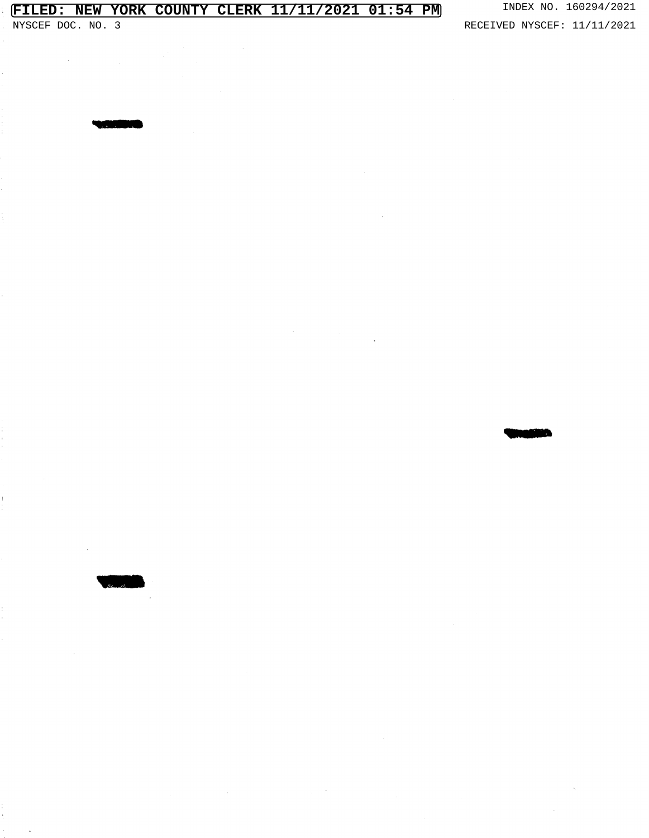# **FILED: NEW YORK COUNTY CLERK 11/11/2021 01:54 PM** INDEX NO. 160294/2021 NYSCEF DOC. NO. 3

 $\bar{z}$ 

r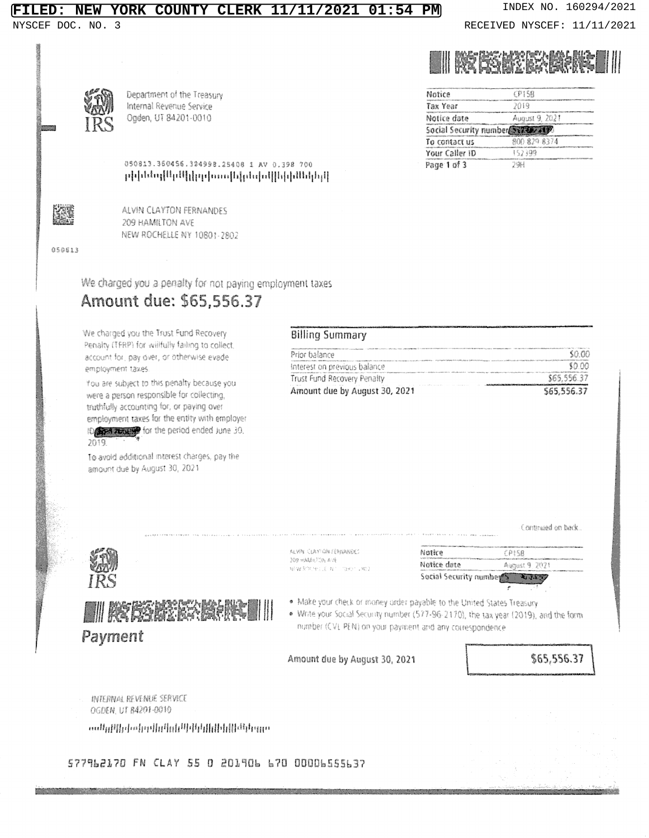### **YORK COUNTY CLERK** 2021 01 :54 PM

050813.360456.324998.25408 1 AV 0.398 700 թիխնեց[Արքք|լիրիստվելիեզի||կիիմեկել|

DOC. NO. **NYSCEF** 

## INDEX NO. 160294/2021 RECEIVED NYSCEF: 11/11/2021



| Notice                           | CP158          |  |
|----------------------------------|----------------|--|
| Tax Year                         | 2019           |  |
| Notice date                      | August 9, 2021 |  |
| Social Security number SEPTE ALV |                |  |
| To contact us                    | 800-829-8374   |  |
| Your Caller ID                   | 152399         |  |
| Page 1 of 3                      | 2984           |  |

Department of the Treasury Internal Revenue Service Ogden, UT 84201-0010



ALVIN CLAYTON FERNANDES 209 HAMILTON AVE NEW ROCHELLE NY 10801-2802

050613

We charged you a penalty for not paying employment taxes

# Amount due: \$65,556.37

We charged you the Trust Fund Recovery Penalty (TFRP) for willfully failing to collect, account for, pay over, or otherwise evade employment taxes.

You are subject to this penalty because you were a person responsible for collecting, trathfully accounting for, or paying over employment taxes for the entity with employer to a water for the period ended june 30. 2019

To avoid additional interest charges, pay the amount due by August 30, 2021

### **Billing Summary**

| Prior balance                 | \$0.00      |
|-------------------------------|-------------|
| Interest on previous balance. | \$0.00      |
| Trust Fund Recovery Penalty   | \$65,556.37 |
| Amount due by August 30, 2021 | \$65,556.37 |





ALVIN CLAYFON-FERNANDES 309 HAMBITON AVE NEW ROUNSLE NIT TOHEL VRD2



. Make your check or money order payable to the United States Treasury

· Write your Social Security number (577-96-2170), the tax year (2019), and the form number (CVL PEN) on your payment and any correspondence

Amount due by August 30, 2021

| \$65,556.37 |  |
|-------------|--|
|             |  |

Continued on back

INTERNAL REVENLIE SERVICE OGDEN, UT 84201-0010

անկ[կինսկով|կիկ|կիկ|կիկ|կիկ|ա

## 577962170 FN CLAY 55 0 201906 670 00006555637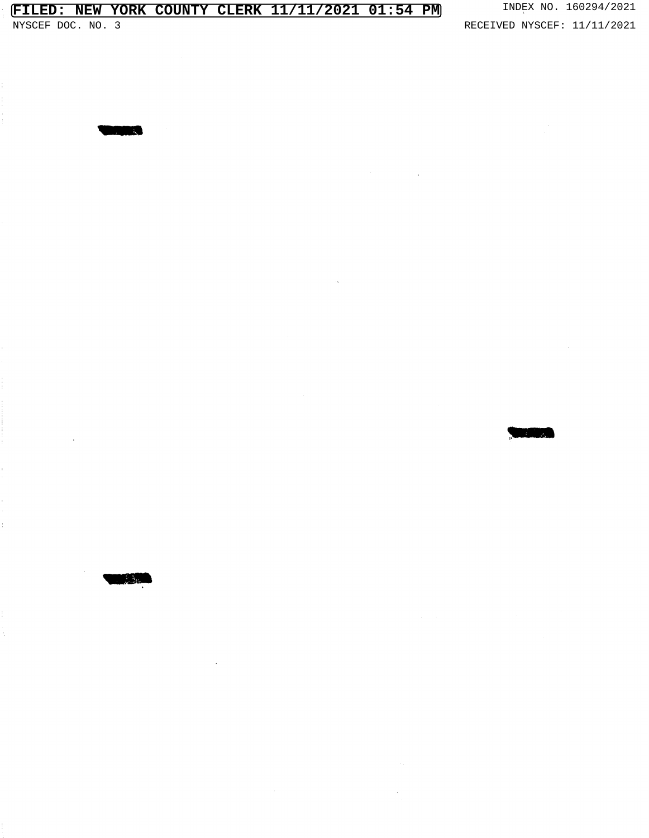# **FILED: NEW YORK COUNTY CLERK 11/11/2021 01:54 PM** INDEX NO. 160294/2021 NYSCEF DOC. NO. 3

**The Company's** 

mann anns

RECEIVED NYSCEF: 11/11/2021

**The Company**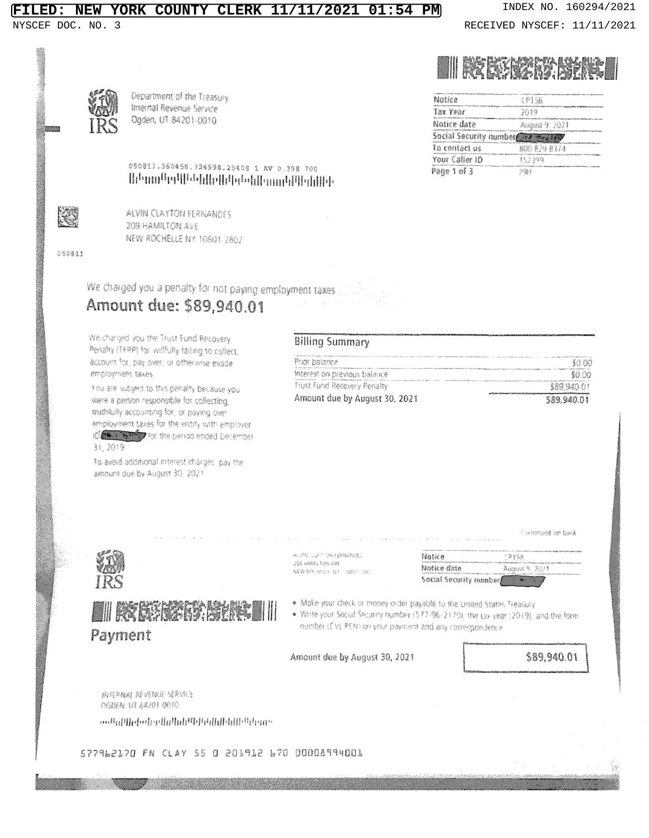### **YORK COUNTY** .ERK 21 01 :54 PM

NYSCEF DOC. NO. 3

INDEX NO. 160294/2021 RECEIVED NYSCEF: 11/11/2021



| Notice                            | CP158          |  |
|-----------------------------------|----------------|--|
| Tax Year                          | 2019           |  |
| Notice date                       | August 9, 2021 |  |
| Social Security number of The USW |                |  |
| To contact us                     | 800-829 8374   |  |
| Your Caller ID                    | 152299         |  |
| Page 1 of 3                       | 2위년            |  |

Department of the Treasury Internal Revenue Service Ogden, UT 84201-0010



ALVIN CLAYTON FERNANDES 209 HAMILTON AVE NEW ROCHELLE NY 10801-2802

050811

We charged you a penalty for not paying employment taxes.

050811.360456.324998.25408 1 AV 0.398 700 

# Amount due: \$89.940.01

We charged you the Trust Fund Recovery Penalty (TERP) for willfully failing to collect, account for, pay over, ul otherwise evade employment taxes.

You are subject to this penalty because you were a person responsible for collecting. andpluily accounting for, or paying over employment takes for the entity with employer (Of the FRFT) for the period ended December 31, 2019.

To aveid additional interest charges gay the amount due by August 30, 2021

## **Billing Summary**

| Prior balance                 | \$0.00      |
|-------------------------------|-------------|
| Interest on previous balance. | \$0.00      |
| Trust Fund Recovery Penalty   | \$89,940.01 |
| Amount due by August 30, 2021 | 589.940.01  |





ALMIN LOAM DN FRANKRING 259 HAMS TON AVE NEW ROUNSEE BY SBBY 2607

| Notice      | $-2158$        |
|-------------|----------------|
| Notice date | August 9, 2021 |

- . Make your check or money order payable to the United States Treasury
- . Write your Social Security number (577-96-2170), the cax year (2019), and the form number (CVL PEN) on your payment and any correspondence.

Amount due by August 30, 2021

|  | \$89,940.01 |  |
|--|-------------|--|
|  |             |  |

Continued on back

齿形构乱 陆死NHK 凭软化王 OGDEN UT 84201-0010

անկիկինիկիկիկիկիկիկինիսու

577962170 FN CLAY 55 0 201912 670 00008994001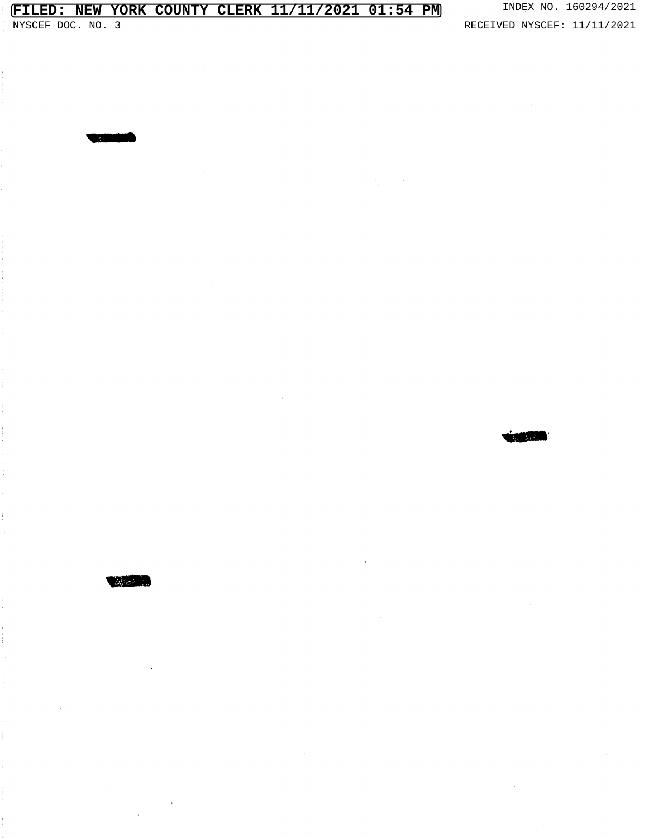RECEIVED NYSCEF: 11/11/2021

IHEn B



**sana**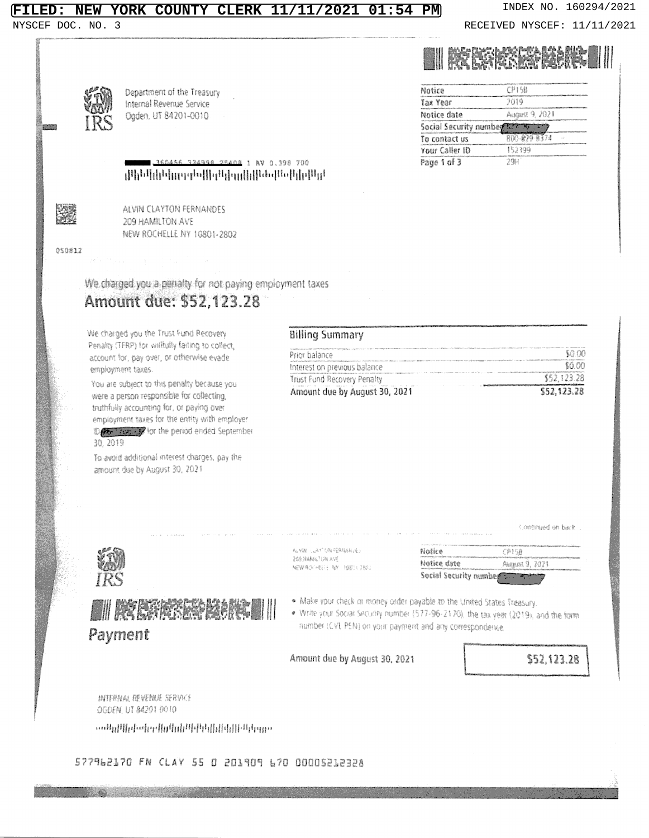### **COUNTY**  $01:54$  $PM$ **YORK CLERK** 2021 NEW

NYSCEF DOC. NO.

INDEX NO. 160294/2021

RECEIVED NYSCEF: 11/11/2021



CP158

Department of the Treasury Internal Revenue Service Ogden, UT 84201-0010

 $7019$ Tax Year Notice date August 9, 2021 Social Security number 577 70 127 To contact us 800-829-8374 Your Caller ID 152399  $791$ Page 1 of 3

Notice

25408 1 AV 0.398 700 լիկեկնիկյությակիցներուննիեռվներիկների



ALVIN CLAYTON FERNANDES 209 HAMILTON AVE NEW ROCHELLE NY 10801-2802

050812

We charged you a penalty for not paying employment taxes

# Amount due: \$52,123.28

We charged you the Trust Fund Recovery Penalty (TFRP) for willfully failing to collect, account for, pay over, or otherwise evade employment taxes.

You are subject to this penalty because you were a person responsible for collecting, truthfully accounting for, or paying over employment taxes for the entity with employer ID REC Table By for the period ended September 30 2019

To avoid additional interest charges, pay the amount due by August 30, 2021

## **Billing Summary**

| Prior balance                 | \$0.00      |
|-------------------------------|-------------|
| Interest on previous balance  | \$0.00      |
| Trust Fund Recovery Penalty   | \$52,123.28 |
| Amount due by August 30, 2021 | \$52,123.28 |





ALVIN LUATION RERRAILIES 200, NAME TON AVE NEW ROCHELE NY 1980 (780)



. Make your check or money order payable to the United States Treasury.

. Write your Social Security number (577-96-2170), the tax year (2019), and the form number (CVL PEN) on your payment and any correspondence

Amount due by August 30, 2021

| \$52,123.28 |
|-------------|
|-------------|

Continued on back

INTERNAL REVENUE SERVICE OGDEN, UT 84201-0010

անկիկին արդեն կաններին կին<sub>ն</sub>ու

## 577962170 FN CLAY 55 0 201909 670 00005212328